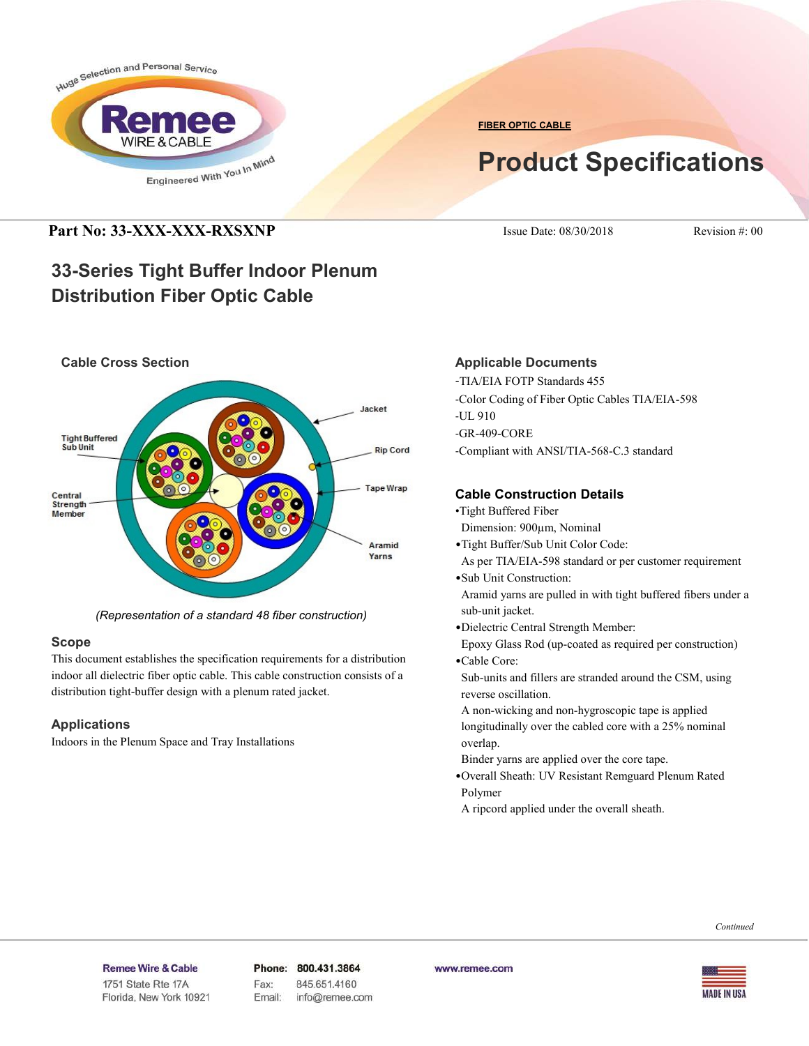

**FIBER OPTIC CABLE**

# **Product Specifications**

### **Part No: 33-XXX-XXX-RXSXNP** Issue Date: 08/30/2018 Revision #: 00

## **33-Series Tight Buffer Indoor Plenum Distribution Fiber Optic Cable**



*(Representation of a standard 48 fiber construction)*

### **Scope**

This document establishes the specification requirements for a distribution indoor all dielectric fiber optic cable. This cable construction consists of a distribution tight-buffer design with a plenum rated jacket.

### **Applications**

Indoors in the Plenum Space and Tray Installations

### **Applicable Documents**

-TIA/EIA FOTP Standards 455 -Color Coding of Fiber Optic Cables TIA/EIA-598 -UL 910 -GR-409-CORE -Compliant with ANSI/TIA-568-C.3 standard

### **Cable Construction Details**

- •Tight Buffered Fiber
- Dimension: 900µm, Nominal
- •Tight Buffer/Sub Unit Color Code:
- As per TIA/EIA-598 standard or per customer requirement •Sub Unit Construction:

 Aramid yarns are pulled in with tight buffered fibers under a sub-unit jacket.

•Dielectric Central Strength Member:

 Epoxy Glass Rod (up-coated as required per construction) •Cable Core:

 Sub-units and fillers are stranded around the CSM, using reverse oscillation.

 A non-wicking and non-hygroscopic tape is applied longitudinally over the cabled core with a 25% nominal overlap.

Binder yarns are applied over the core tape.

•Overall Sheath: UV Resistant Remguard Plenum Rated Polymer

A ripcord applied under the overall sheath.



#### Remee Wire & Cable Issue No.: 05

Florida, New York 10921

Phone: 800.431.3864 Fax: 845.651.4160 Email: info@remee.com www.remee.com

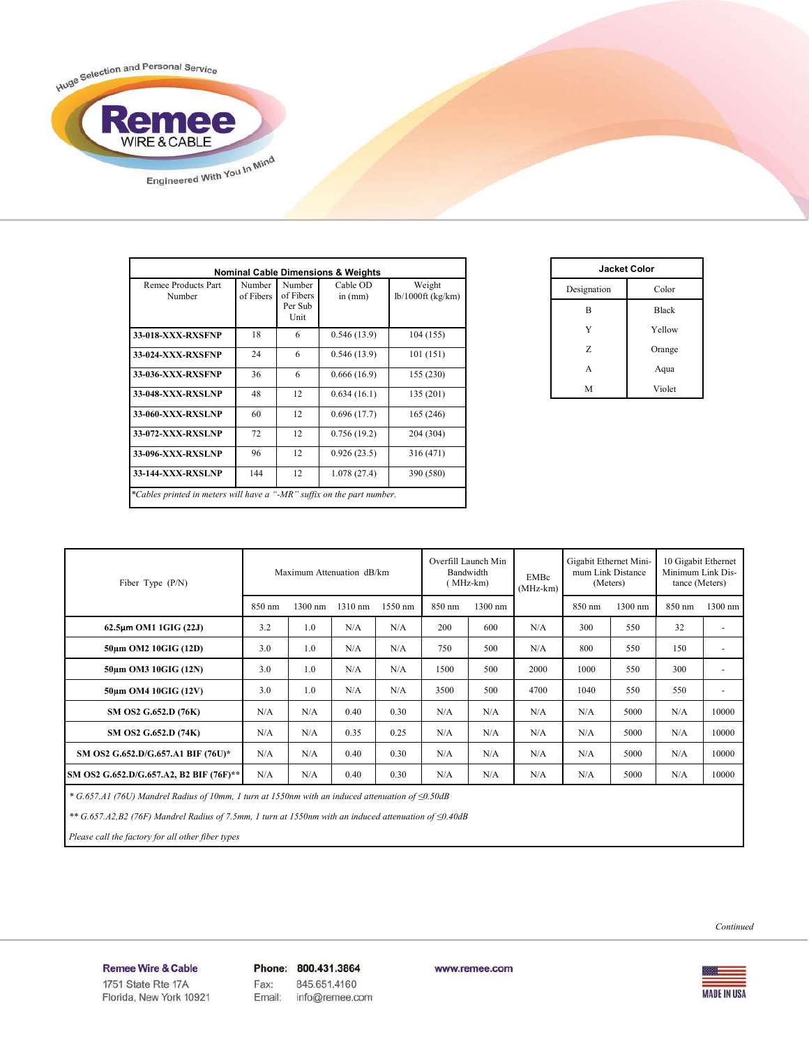

| <b>Nominal Cable Dimensions &amp; Weights</b>                          |                     |                                        |                     |                               |  |  |
|------------------------------------------------------------------------|---------------------|----------------------------------------|---------------------|-------------------------------|--|--|
| Remee Products Part<br>Number                                          | Number<br>of Fibers | Number<br>of Fibers<br>Per Sub<br>Unit | Cable OD<br>in (mm) | Weight<br>$lb/1000ft$ (kg/km) |  |  |
| 33-018-XXX-RXSFNP                                                      | 18                  | 6                                      | 0.546(13.9)         | 104 (155)                     |  |  |
| 33-024-XXX-RXSFNP                                                      | 24                  | 6                                      | 0.546(13.9)         | 101 (151)                     |  |  |
| 33-036-XXX-RXSFNP                                                      | 36                  | 6                                      | 0.666(16.9)         | 155 (230)                     |  |  |
| 33-048-XXX-RXSLNP                                                      | 48                  | 12                                     | 0.634(16.1)         | 135(201)                      |  |  |
| 33-060-XXX-RXSLNP                                                      | 60                  | 12                                     | 0.696(17.7)         | 165 (246)                     |  |  |
| 33-072-XXX-RXSLNP                                                      | 72                  | 12                                     | 0.756(19.2)         | 204 (304)                     |  |  |
| 33-096-XXX-RXSLNP                                                      | 96                  | 12                                     | 0.926(23.5)         | 316 (471)                     |  |  |
| <b>33-144-XXX-RXSLNP</b>                                               | 144                 | 12                                     | 1.078(27.4)         | 390 (580)                     |  |  |
| *Cables printed in meters will have a "-MR" suffix on the part number. |                     |                                        |                     |                               |  |  |

| <b>Jacket Color</b> |              |  |  |  |
|---------------------|--------------|--|--|--|
| Designation         | Color        |  |  |  |
| B                   | <b>Black</b> |  |  |  |
| Y                   | Yellow       |  |  |  |
| Z                   | Orange       |  |  |  |
| A                   | Aqua         |  |  |  |
| M                   | Violet       |  |  |  |

| Fiber Type $(P/N)$                      | Maximum Attenuation dB/km |         |         | Overfill Launch Min<br>Bandwidth<br>$(MHz-km)$ |        | <b>EMBc</b><br>$(MHz-km)$ | Gigabit Ethernet Mini-<br>mum Link Distance<br>(Meters) |        | 10 Gigabit Ethernet<br>Minimum Link Dis-<br>tance (Meters) |        |                          |
|-----------------------------------------|---------------------------|---------|---------|------------------------------------------------|--------|---------------------------|---------------------------------------------------------|--------|------------------------------------------------------------|--------|--------------------------|
|                                         | 850 nm                    | 1300 nm | 1310 nm | 1550 nm                                        | 850 nm | 1300 nm                   |                                                         | 850 nm | 1300 nm                                                    | 850 nm | 1300 nm                  |
| $62.5\mu m$ OM1 1GIG (22J)              | 3.2                       | 1.0     | N/A     | N/A                                            | 200    | 600                       | N/A                                                     | 300    | 550                                                        | 32     | ٠                        |
| 50um OM2 10GIG (12D)                    | 3.0                       | 1.0     | N/A     | N/A                                            | 750    | 500                       | N/A                                                     | 800    | 550                                                        | 150    | ٠                        |
| 50um OM3 10GIG (12N)                    | 3.0                       | 1.0     | N/A     | N/A                                            | 1500   | 500                       | 2000                                                    | 1000   | 550                                                        | 300    | $\overline{\phantom{a}}$ |
| 50um OM4 10GIG (12V)                    | 3.0                       | 1.0     | N/A     | N/A                                            | 3500   | 500                       | 4700                                                    | 1040   | 550                                                        | 550    | ٠                        |
| SM OS2 G.652.D (76K)                    | N/A                       | N/A     | 0.40    | 0.30                                           | N/A    | N/A                       | N/A                                                     | N/A    | 5000                                                       | N/A    | 10000                    |
| SM OS2 G.652.D (74K)                    | N/A                       | N/A     | 0.35    | 0.25                                           | N/A    | N/A                       | N/A                                                     | N/A    | 5000                                                       | N/A    | 10000                    |
| SM OS2 G.652.D/G.657.A1 BIF (76U)*      | N/A                       | N/A     | 0.40    | 0.30                                           | N/A    | N/A                       | N/A                                                     | N/A    | 5000                                                       | N/A    | 10000                    |
| SM OS2 G.652.D/G.657.A2, B2 BIF (76F)** | N/A                       | N/A     | 0.40    | 0.30                                           | N/A    | N/A                       | N/A                                                     | N/A    | 5000                                                       | N/A    | 10000                    |

 *\* G.657.A1 (76U) Mandrel Radius of 10mm, 1 turn at 1550nm with an induced attenuation of ≤0.50dB*

 *\*\* G.657.A2,B2 (76F) Mandrel Radius of 7.5mm, 1 turn at 1550nm with an induced attenuation of ≤0.40dB*

 *Please call the factory for all other fiber types*

**MADE IN USA** 

Remee Wire & Cable Issue No.: 05 Florida, New York 10921 Phone: 800.431.3864 Fax: 845.651.4160 info@remee.com Email:

www.remee.com